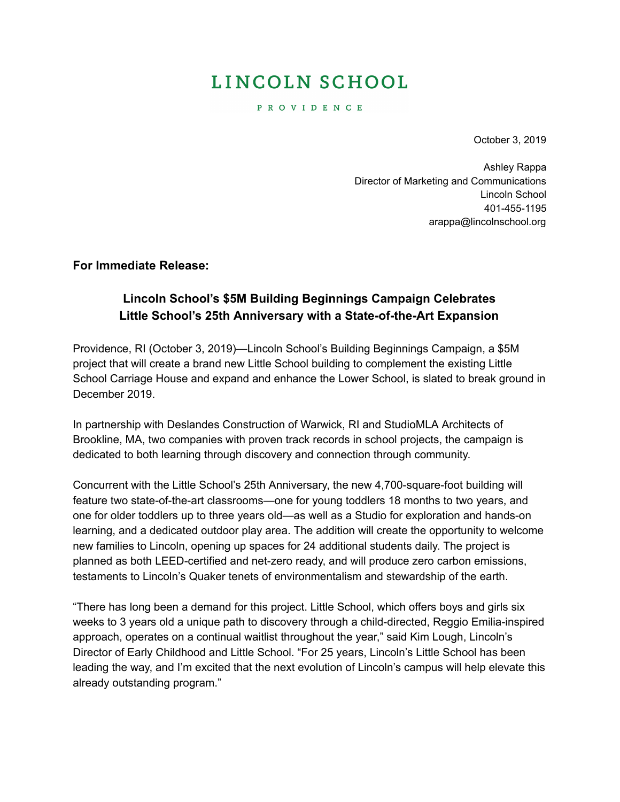# LINCOLN SCHOOL

P R O V I D E N C E

October 3, 2019

Ashley Rappa Director of Marketing and Communications Lincoln School 401-455-1195 [arappa@lincolnschool.org](mailto:arappa@lincolnschool.org)

**For Immediate Release:**

### **Lincoln School's \$5M Building Beginnings Campaign Celebrates Little School's 25th Anniversary with a State-of-the-Art Expansion**

Providence, RI (October 3, 2019)—Lincoln School's Building Beginnings Campaign, a \$5M project that will create a brand new Little School building to complement the existing Little School Carriage House and expand and enhance the Lower School, is slated to break ground in December 2019.

In partnership with Deslandes Construction of Warwick, RI and StudioMLA Architects of Brookline, MA, two companies with proven track records in school projects, the campaign is dedicated to both learning through discovery and connection through community.

Concurrent with the Little School's 25th Anniversary, the new 4,700-square-foot building will feature two state-of-the-art classrooms—one for young toddlers 18 months to two years, and one for older toddlers up to three years old—as well as a Studio for exploration and hands-on learning, and a dedicated outdoor play area. The addition will create the opportunity to welcome new families to Lincoln, opening up spaces for 24 additional students daily. The project is planned as both LEED-certified and net-zero ready, and will produce zero carbon emissions, testaments to Lincoln's Quaker tenets of environmentalism and stewardship of the earth.

"There has long been a demand for this project. Little School, which offers boys and girls six weeks to 3 years old a unique path to discovery through a child-directed, Reggio Emilia-inspired approach, operates on a continual waitlist throughout the year," said Kim Lough, Lincoln's Director of Early Childhood and Little School. "For 25 years, Lincoln's Little School has been leading the way, and I'm excited that the next evolution of Lincoln's campus will help elevate this already outstanding program."